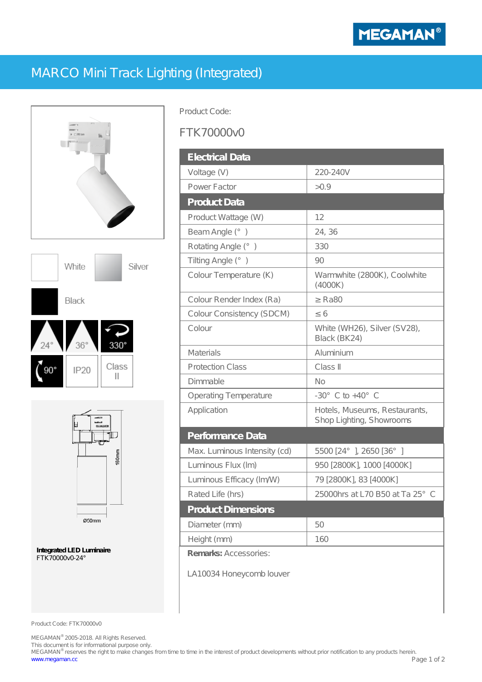

## MARCO Mini Track Lighting (Integrated)







**Integrated LED Luminaire** FTK70000v0-24°

Product Code:

## FTK70000v0

| <b>Electrical Data</b>       |                                                           |
|------------------------------|-----------------------------------------------------------|
| Voltage $(V)$                | 220-240V                                                  |
| Power Factor                 | > 0.9                                                     |
| <b>Product Data</b>          |                                                           |
| Product Wattage (W)          | 12                                                        |
| Beam Angle (°)               | 24, 36                                                    |
| Rotating Angle (°)           | 330                                                       |
| Tilting Angle (°)            | 90                                                        |
| Colour Temperature (K)       | Warmwhite (2800K), Coolwhite<br>(4000K)                   |
| Colour Render Index (Ra)     | <b>Ra80</b>                                               |
| Colour Consistency (SDCM)    | 6                                                         |
| Colour                       | White (WH26), Silver (SV28),<br>Black (BK24)              |
| <b>Materials</b>             | Aluminium                                                 |
| <b>Protection Class</b>      | Class                                                     |
| Dimmable                     | No                                                        |
| Operating Temperature        | $-30^{\circ}$ C to $+40^{\circ}$ C                        |
| Application                  | Hotels, Museums, Restaurants,<br>Shop Lighting, Showrooms |
| Performance Data             |                                                           |
| Max. Luminous Intensity (cd) | 5500 [24° ], 2650 [36° ]                                  |
| Luminous Flux (Im)           | 950 [2800K], 1000 [4000K]                                 |
| Luminous Efficacy (Im/W)     | 79 [2800K], 83 [4000K]                                    |
| Rated Life (hrs)             | 25000hrs at L70 B50 at Ta 25° C                           |
| <b>Product Dimensions</b>    |                                                           |
| Diameter (mm)                | 50                                                        |
| Height (mm)                  | 160                                                       |
| Remarks: Accessories:        |                                                           |
| LA10034 Honeycomb louver     |                                                           |

Product Code: FTK70000v0

MEGAMAN® 2005-2018. All Rights Reserved.

This document is for informational purpose only.<br>MEGAMAN® reserves the right to make changes from time to time in the interest of product developments without prior notification to any products herein. www.megaman.cc Page 1 of 2